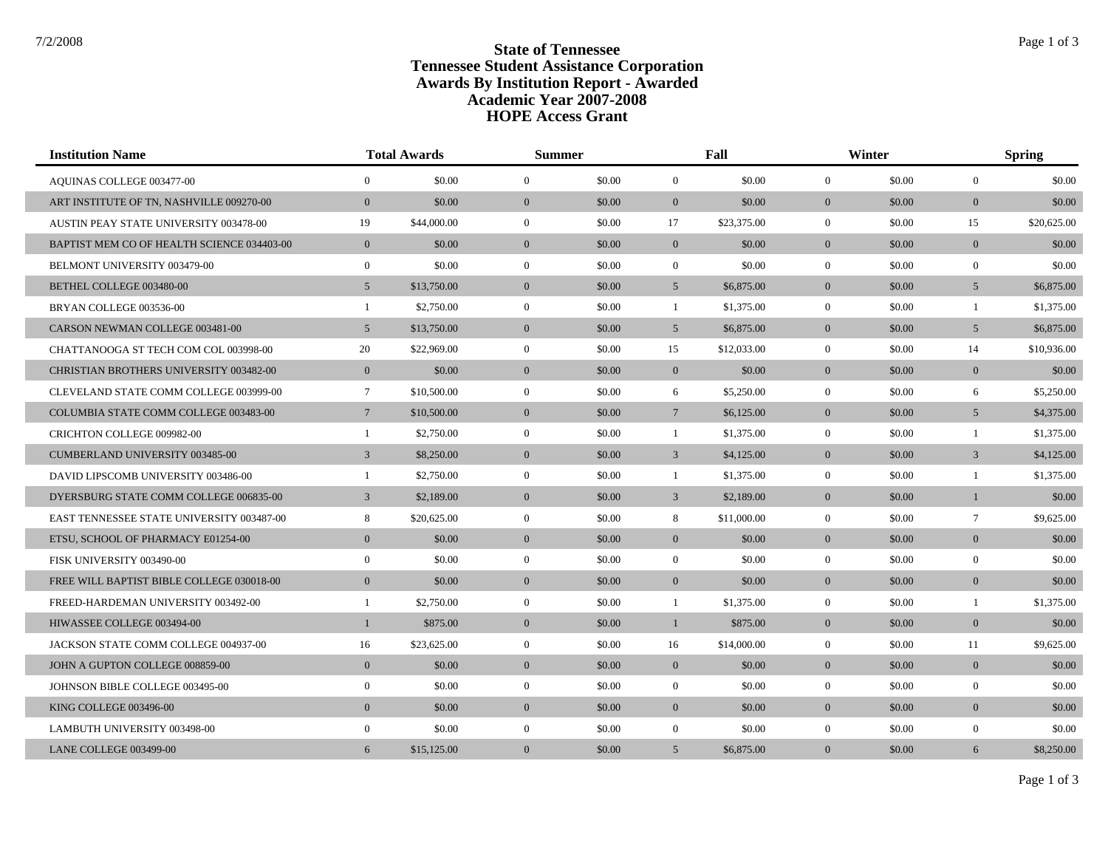## **State of Tennessee** State of Tennessee **Tennessee Student Assistance Corporation Awards By Institution Report - Awarded HOPE Access Grant Academic Year 2007-2008**

| <b>Institution Name</b>                          | <b>Total Awards</b> |             | <b>Summer</b>    |        | Fall            |             | Winter         |        | <b>Spring</b>   |             |
|--------------------------------------------------|---------------------|-------------|------------------|--------|-----------------|-------------|----------------|--------|-----------------|-------------|
| AQUINAS COLLEGE 003477-00                        | $\overline{0}$      | \$0.00      | $\mathbf{0}$     | \$0.00 | $\overline{0}$  | \$0.00      | $\overline{0}$ | \$0.00 | $\overline{0}$  | \$0.00      |
| ART INSTITUTE OF TN. NASHVILLE 009270-00         | $\mathbf{0}$        | \$0.00      | $\mathbf{0}$     | \$0.00 | $\overline{0}$  | \$0.00      | $\overline{0}$ | \$0.00 | $\overline{0}$  | \$0.00      |
| <b>AUSTIN PEAY STATE UNIVERSITY 003478-00</b>    | 19                  | \$44,000.00 | $\mathbf{0}$     | \$0.00 | 17              | \$23,375.00 | $\overline{0}$ | \$0.00 | 15              | \$20,625.00 |
| BAPTIST MEM CO OF HEALTH SCIENCE 034403-00       | $\overline{0}$      | \$0.00      | $\overline{0}$   | \$0.00 | $\overline{0}$  | \$0.00      | $\overline{0}$ | \$0.00 | $\overline{0}$  | \$0.00      |
| BELMONT UNIVERSITY 003479-00                     | $\overline{0}$      | \$0.00      | $\overline{0}$   | \$0.00 | $\overline{0}$  | \$0.00      | $\overline{0}$ | \$0.00 | $\overline{0}$  | \$0.00      |
| BETHEL COLLEGE 003480-00                         | $5\overline{)}$     | \$13,750.00 | $\mathbf{0}$     | \$0.00 | 5 <sup>5</sup>  | \$6,875.00  | $\mathbf{0}$   | \$0.00 | $5\overline{)}$ | \$6,875.00  |
| BRYAN COLLEGE 003536-00                          | $\mathbf{1}$        | \$2,750.00  | $\mathbf{0}$     | \$0.00 | $\mathbf{1}$    | \$1,375.00  | $\overline{0}$ | \$0.00 | $\mathbf{1}$    | \$1,375.00  |
| CARSON NEWMAN COLLEGE 003481-00                  | $5\overline{)}$     | \$13,750.00 | $\mathbf{0}$     | \$0.00 | 5 <sup>5</sup>  | \$6,875.00  | $\overline{0}$ | \$0.00 | 5 <sup>5</sup>  | \$6,875.00  |
| CHATTANOOGA ST TECH COM COL 003998-00            | 20                  | \$22,969.00 | $\mathbf{0}$     | \$0.00 | 15              | \$12,033.00 | $\overline{0}$ | \$0.00 | 14              | \$10,936.00 |
| <b>CHRISTIAN BROTHERS UNIVERSITY 003482-00</b>   | $\mathbf{0}$        | \$0.00      | $\mathbf{0}$     | \$0.00 | $\overline{0}$  | \$0.00      | $\mathbf{0}$   | \$0.00 | $\mathbf{0}$    | \$0.00      |
| CLEVELAND STATE COMM COLLEGE 003999-00           | $7\phantom{.0}$     | \$10,500.00 | $\mathbf{0}$     | \$0.00 | 6               | \$5,250.00  | $\overline{0}$ | \$0.00 | 6               | \$5,250.00  |
| COLUMBIA STATE COMM COLLEGE 003483-00            | $7\phantom{.0}$     | \$10,500.00 | $\mathbf{0}$     | \$0.00 | $7\overline{ }$ | \$6,125.00  | $\overline{0}$ | \$0.00 | $5\overline{)}$ | \$4,375.00  |
| CRICHTON COLLEGE 009982-00                       | $\mathbf{1}$        | \$2,750.00  | $\mathbf{0}$     | \$0.00 | $\mathbf{1}$    | \$1,375.00  | $\overline{0}$ | \$0.00 | -1              | \$1,375.00  |
| CUMBERLAND UNIVERSITY 003485-00                  | $\overline{3}$      | \$8,250.00  | $\mathbf{0}$     | \$0.00 | $\mathfrak{Z}$  | \$4,125.00  | $\overline{0}$ | \$0.00 | $\mathfrak{Z}$  | \$4,125.00  |
| DAVID LIPSCOMB UNIVERSITY 003486-00              | $\mathbf{1}$        | \$2,750.00  | $\mathbf{0}$     | \$0.00 | $\mathbf{1}$    | \$1,375.00  | $\overline{0}$ | \$0.00 | $\overline{1}$  | \$1,375.00  |
| DYERSBURG STATE COMM COLLEGE 006835-00           | $\overline{3}$      | \$2,189.00  | $\mathbf{0}$     | \$0.00 | $\overline{3}$  | \$2,189.00  | $\overline{0}$ | \$0.00 | $\mathbf{1}$    | \$0.00      |
| <b>EAST TENNESSEE STATE UNIVERSITY 003487-00</b> | 8                   | \$20,625.00 | $\mathbf{0}$     | \$0.00 | 8               | \$11,000.00 | $\overline{0}$ | \$0.00 | $\tau$          | \$9,625.00  |
| ETSU, SCHOOL OF PHARMACY E01254-00               | $\mathbf{0}$        | \$0.00      | $\mathbf{0}$     | \$0.00 | $\overline{0}$  | \$0.00      | $\overline{0}$ | \$0.00 | $\mathbf{0}$    | \$0.00      |
| FISK UNIVERSITY 003490-00                        | $\overline{0}$      | \$0.00      | $\overline{0}$   | \$0.00 | $\overline{0}$  | \$0.00      | $\overline{0}$ | \$0.00 | $\overline{0}$  | \$0.00      |
| FREE WILL BAPTIST BIBLE COLLEGE 030018-00        | $\mathbf{0}$        | \$0.00      | $\mathbf{0}$     | \$0.00 | $\overline{0}$  | \$0.00      | $\overline{0}$ | \$0.00 | $\mathbf{0}$    | \$0.00      |
| FREED-HARDEMAN UNIVERSITY 003492-00              | $\mathbf{1}$        | \$2,750.00  | $\boldsymbol{0}$ | \$0.00 | $\mathbf{1}$    | \$1,375.00  | $\overline{0}$ | \$0.00 | -1              | \$1,375.00  |
| HIWASSEE COLLEGE 003494-00                       | $\mathbf{1}$        | \$875.00    | $\mathbf{0}$     | \$0.00 | $\mathbf{1}$    | \$875.00    | $\overline{0}$ | \$0.00 | $\mathbf{0}$    | \$0.00      |
| JACKSON STATE COMM COLLEGE 004937-00             | 16                  | \$23,625.00 | $\overline{0}$   | \$0.00 | 16              | \$14,000.00 | $\overline{0}$ | \$0.00 | 11              | \$9,625.00  |
| JOHN A GUPTON COLLEGE 008859-00                  | $\mathbf{0}$        | \$0.00      | $\mathbf{0}$     | \$0.00 | $\overline{0}$  | \$0.00      | $\overline{0}$ | \$0.00 | $\overline{0}$  | \$0.00      |
| JOHNSON BIBLE COLLEGE 003495-00                  | $\overline{0}$      | \$0.00      | $\mathbf{0}$     | \$0.00 | $\overline{0}$  | \$0.00      | $\overline{0}$ | \$0.00 | $\overline{0}$  | \$0.00      |
| KING COLLEGE 003496-00                           | $\mathbf{0}$        | \$0.00      | $\mathbf{0}$     | \$0.00 | $\overline{0}$  | \$0.00      | $\overline{0}$ | \$0.00 | $\mathbf{0}$    | \$0.00      |
| LAMBUTH UNIVERSITY 003498-00                     | $\overline{0}$      | \$0.00      | $\overline{0}$   | \$0.00 | $\overline{0}$  | \$0.00      | $\overline{0}$ | \$0.00 | $\mathbf{0}$    | \$0.00      |
| LANE COLLEGE 003499-00                           | 6                   | \$15,125.00 | $\mathbf{0}$     | \$0.00 | 5 <sup>5</sup>  | \$6,875.00  | $\overline{0}$ | \$0.00 | 6               | \$8,250.00  |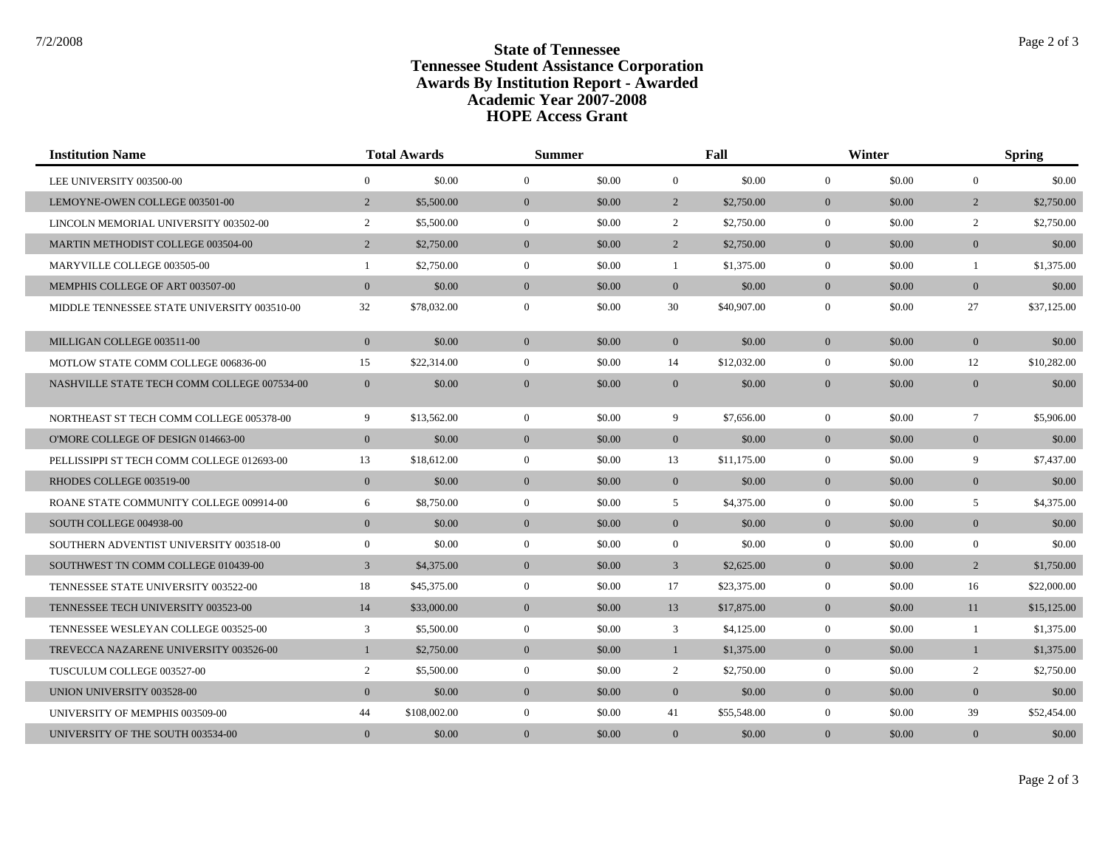## **State of Tennessee** State of Tennessee **Tennessee Student Assistance Corporation Awards By Institution Report - Awarded HOPE Access Grant Academic Year 2007-2008**

| <b>Institution Name</b>                     | <b>Total Awards</b> |              |                | <b>Summer</b> |                | Fall        |                | Winter |                  | <b>Spring</b> |  |
|---------------------------------------------|---------------------|--------------|----------------|---------------|----------------|-------------|----------------|--------|------------------|---------------|--|
| LEE UNIVERSITY 003500-00                    | $\overline{0}$      | \$0.00       | $\mathbf{0}$   | \$0.00        | $\mathbf{0}$   | \$0.00      | $\overline{0}$ | \$0.00 | $\boldsymbol{0}$ | \$0.00        |  |
| LEMOYNE-OWEN COLLEGE 003501-00              | $\overline{2}$      | \$5,500.00   | $\overline{0}$ | \$0.00        | $\overline{2}$ | \$2,750.00  | $\overline{0}$ | \$0.00 | $\overline{2}$   | \$2,750.00    |  |
| LINCOLN MEMORIAL UNIVERSITY 003502-00       | $\overline{2}$      | \$5,500.00   | $\mathbf{0}$   | \$0.00        | $\overline{2}$ | \$2,750.00  | $\overline{0}$ | \$0.00 | $\overline{2}$   | \$2,750.00    |  |
| MARTIN METHODIST COLLEGE 003504-00          | $\overline{2}$      | \$2,750.00   | $\mathbf{0}$   | \$0.00        | $\overline{2}$ | \$2,750.00  | $\overline{0}$ | \$0.00 | $\overline{0}$   | \$0.00        |  |
| MARYVILLE COLLEGE 003505-00                 | $\mathbf{1}$        | \$2,750.00   | $\mathbf{0}$   | \$0.00        | 1              | \$1,375.00  | $\overline{0}$ | \$0.00 | $\mathbf{1}$     | \$1,375.00    |  |
| MEMPHIS COLLEGE OF ART 003507-00            | $\mathbf{0}$        | \$0.00       | $\overline{0}$ | \$0.00        | $\overline{0}$ | \$0.00      | $\overline{0}$ | \$0.00 | $\overline{0}$   | \$0.00        |  |
| MIDDLE TENNESSEE STATE UNIVERSITY 003510-00 | 32                  | \$78,032.00  | $\mathbf{0}$   | \$0.00        | 30             | \$40,907.00 | $\overline{0}$ | \$0.00 | 27               | \$37,125.00   |  |
| MILLIGAN COLLEGE 003511-00                  | $\mathbf{0}$        | \$0.00       | $\overline{0}$ | \$0.00        | $\overline{0}$ | \$0.00      | $\overline{0}$ | \$0.00 | $\overline{0}$   | \$0.00        |  |
| MOTLOW STATE COMM COLLEGE 006836-00         | 15                  | \$22,314.00  | $\mathbf{0}$   | \$0.00        | 14             | \$12,032.00 | $\overline{0}$ | \$0.00 | 12               | \$10,282.00   |  |
| NASHVILLE STATE TECH COMM COLLEGE 007534-00 | $\mathbf{0}$        | \$0.00       | $\mathbf{0}$   | \$0.00        | $\mathbf{0}$   | \$0.00      | $\overline{0}$ | \$0.00 | $\overline{0}$   | \$0.00        |  |
| NORTHEAST ST TECH COMM COLLEGE 005378-00    | 9                   | \$13,562.00  | $\mathbf{0}$   | \$0.00        | 9              | \$7,656.00  | $\overline{0}$ | \$0.00 | $\tau$           | \$5,906.00    |  |
| O'MORE COLLEGE OF DESIGN 014663-00          | $\mathbf{0}$        | \$0.00       | $\mathbf{0}$   | \$0.00        | $\overline{0}$ | \$0.00      | $\overline{0}$ | \$0.00 | $\overline{0}$   | \$0.00        |  |
| PELLISSIPPI ST TECH COMM COLLEGE 012693-00  | 13                  | \$18,612.00  | $\mathbf{0}$   | \$0.00        | 13             | \$11,175.00 | $\overline{0}$ | \$0.00 | 9                | \$7,437.00    |  |
| RHODES COLLEGE 003519-00                    | $\mathbf{0}$        | \$0.00       | $\overline{0}$ | \$0.00        | $\overline{0}$ | \$0.00      | $\overline{0}$ | \$0.00 | $\overline{0}$   | \$0.00        |  |
| ROANE STATE COMMUNITY COLLEGE 009914-00     | 6                   | \$8,750.00   | $\mathbf{0}$   | \$0.00        | 5 <sup>5</sup> | \$4,375.00  | $\overline{0}$ | \$0.00 | 5                | \$4,375.00    |  |
| SOUTH COLLEGE 004938-00                     | $\overline{0}$      | \$0.00       | $\overline{0}$ | \$0.00        | $\overline{0}$ | \$0.00      | $\overline{0}$ | \$0.00 | $\overline{0}$   | \$0.00        |  |
| SOUTHERN ADVENTIST UNIVERSITY 003518-00     | $\overline{0}$      | \$0.00       | $\overline{0}$ | \$0.00        | $\mathbf{0}$   | \$0.00      | $\overline{0}$ | \$0.00 | $\mathbf{0}$     | \$0.00        |  |
| SOUTHWEST TN COMM COLLEGE 010439-00         | $\overline{3}$      | \$4,375.00   | $\overline{0}$ | \$0.00        | $\mathfrak{Z}$ | \$2,625.00  | $\overline{0}$ | \$0.00 | $\overline{2}$   | \$1,750.00    |  |
| TENNESSEE STATE UNIVERSITY 003522-00        | 18                  | \$45,375.00  | $\mathbf{0}$   | \$0.00        | 17             | \$23,375.00 | $\overline{0}$ | \$0.00 | 16               | \$22,000.00   |  |
| TENNESSEE TECH UNIVERSITY 003523-00         | 14                  | \$33,000.00  | $\overline{0}$ | \$0.00        | 13             | \$17,875.00 | $\overline{0}$ | \$0.00 | 11               | \$15,125.00   |  |
| TENNESSEE WESLEYAN COLLEGE 003525-00        | 3                   | \$5,500.00   | $\mathbf{0}$   | \$0.00        | 3              | \$4,125.00  | $\overline{0}$ | \$0.00 | $\mathbf{1}$     | \$1,375.00    |  |
| TREVECCA NAZARENE UNIVERSITY 003526-00      | $\mathbf{1}$        | \$2,750.00   | $\mathbf{0}$   | \$0.00        | $\mathbf{1}$   | \$1,375.00  | $\overline{0}$ | \$0.00 | $\mathbf{1}$     | \$1,375.00    |  |
| TUSCULUM COLLEGE 003527-00                  | $\overline{2}$      | \$5,500.00   | $\mathbf{0}$   | \$0.00        | $\overline{2}$ | \$2,750.00  | $\overline{0}$ | \$0.00 | $\overline{2}$   | \$2,750.00    |  |
| UNION UNIVERSITY 003528-00                  | $\mathbf{0}$        | \$0.00       | $\mathbf{0}$   | \$0.00        | $\overline{0}$ | \$0.00      | $\overline{0}$ | \$0.00 | $\mathbf{0}$     | \$0.00        |  |
| UNIVERSITY OF MEMPHIS 003509-00             | 44                  | \$108,002.00 | $\mathbf{0}$   | \$0.00        | 41             | \$55,548.00 | $\overline{0}$ | \$0.00 | 39               | \$52,454.00   |  |
| UNIVERSITY OF THE SOUTH 003534-00           | $\overline{0}$      | \$0.00       | $\mathbf{0}$   | \$0.00        | $\mathbf{0}$   | \$0.00      | $\overline{0}$ | \$0.00 | $\overline{0}$   | \$0.00        |  |

Page 2 of 3